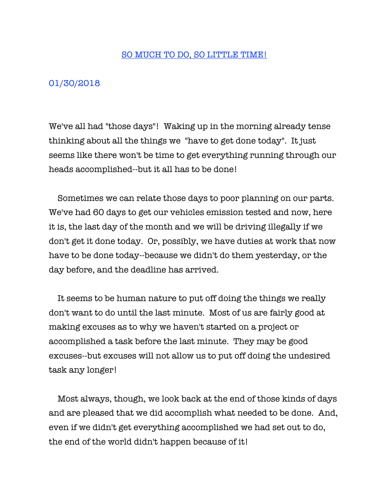## SO MUCH TO DO, SO LITTLE TIME!

## 01/30/2018

We've all had "those days"! Waking up in the morning already tense thinking about all the things we "have to get done today". It just seems like there won't be time to get everything running through our heads accomplished--but it all has to be done!

 Sometimes we can relate those days to poor planning on our parts. We've had 60 days to get our vehicles emission tested and now, here it is, the last day of the month and we will be driving illegally if we don't get it done today. Or, possibly, we have duties at work that now have to be done today--because we didn't do them yesterday, or the day before, and the deadline has arrived.

 It seems to be human nature to put off doing the things we really don't want to do until the last minute. Most of us are fairly good at making excuses as to why we haven't started on a project or accomplished a task before the last minute. They may be good excuses--but excuses will not allow us to put off doing the undesired task any longer!

 Most always, though, we look back at the end of those kinds of days and are pleased that we did accomplish what needed to be done. And, even if we didn't get everything accomplished we had set out to do, the end of the world didn't happen because of it!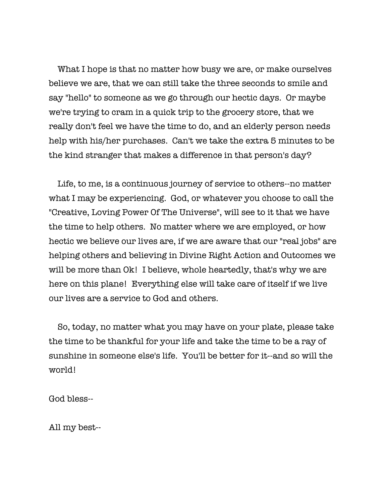What I hope is that no matter how busy we are, or make ourselves believe we are, that we can still take the three seconds to smile and say "hello" to someone as we go through our hectic days. Or maybe we're trying to cram in a quick trip to the grocery store, that we really don't feel we have the time to do, and an elderly person needs help with his/her purchases. Can't we take the extra 5 minutes to be the kind stranger that makes a difference in that person's day?

 Life, to me, is a continuous journey of service to others--no matter what I may be experiencing. God, or whatever you choose to call the "Creative, Loving Power Of The Universe", will see to it that we have the time to help others. No matter where we are employed, or how hectic we believe our lives are, if we are aware that our "real jobs" are helping others and believing in Divine Right Action and Outcomes we will be more than Ok! I believe, whole heartedly, that's why we are here on this plane! Everything else will take care of itself if we live our lives are a service to God and others.

 So, today, no matter what you may have on your plate, please take the time to be thankful for your life and take the time to be a ray of sunshine in someone else's life. You'll be better for it--and so will the world!

God bless--

All my best--